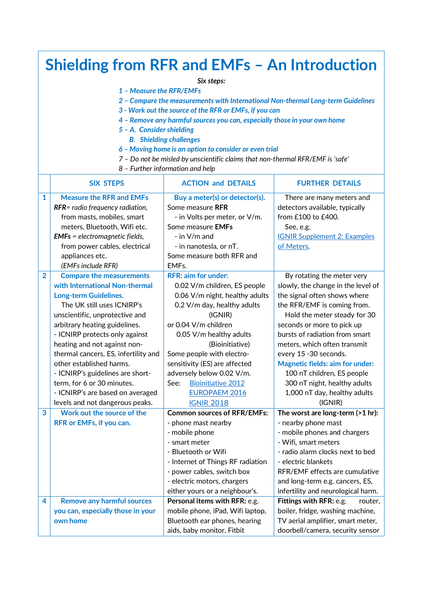| <b>Shielding from RFR and EMFs - An Introduction</b>                             |                                                                           |                                                                |                                                             |  |  |  |  |
|----------------------------------------------------------------------------------|---------------------------------------------------------------------------|----------------------------------------------------------------|-------------------------------------------------------------|--|--|--|--|
| Six steps:                                                                       |                                                                           |                                                                |                                                             |  |  |  |  |
| 1 - Measure the RFR/EMFs                                                         |                                                                           |                                                                |                                                             |  |  |  |  |
| 2 - Compare the measurements with International Non-thermal Long-term Guidelines |                                                                           |                                                                |                                                             |  |  |  |  |
|                                                                                  | 3 - Work out the source of the RFR or EMFs, if you can                    |                                                                |                                                             |  |  |  |  |
|                                                                                  | 4 - Remove any harmful sources you can, especially those in your own home |                                                                |                                                             |  |  |  |  |
| 5 - A. Consider shielding                                                        |                                                                           |                                                                |                                                             |  |  |  |  |
| <b>B.</b> Shielding challenges                                                   |                                                                           |                                                                |                                                             |  |  |  |  |
| 6 - Moving home is an option to consider or even trial                           |                                                                           |                                                                |                                                             |  |  |  |  |
| 7 - Do not be misled by unscientific claims that non-thermal RFR/EMF is 'safe'   |                                                                           |                                                                |                                                             |  |  |  |  |
|                                                                                  | 8 - Further information and help                                          |                                                                |                                                             |  |  |  |  |
|                                                                                  | <b>SIX STEPS</b>                                                          | <b>ACTION and DETAILS</b>                                      | <b>FURTHER DETAILS</b>                                      |  |  |  |  |
| $\mathbf{1}$                                                                     | <b>Measure the RFR and EMFs</b>                                           | Buy a meter(s) or detector(s).                                 | There are many meters and                                   |  |  |  |  |
|                                                                                  | RFR= radio frequency radiation,                                           | Some measure RFR                                               | detectors available, typically                              |  |  |  |  |
|                                                                                  | from masts, mobiles, smart                                                | - in Volts per meter, or V/m.                                  | from £100 to £400.                                          |  |  |  |  |
|                                                                                  | meters, Bluetooth, Wifi etc.                                              | Some measure EMFs                                              | See, e.g.                                                   |  |  |  |  |
|                                                                                  | <b>EMFs</b> = electromagnetic fields,                                     | $-$ in $V/m$ and                                               | <b>IGNIR Supplement 2: Examples</b>                         |  |  |  |  |
|                                                                                  | from power cables, electrical                                             | - in nanotesla, or nT.                                         | of Meters.                                                  |  |  |  |  |
|                                                                                  | appliances etc.                                                           | Some measure both RFR and                                      |                                                             |  |  |  |  |
|                                                                                  | (EMFs include RFR)                                                        | EMFs.                                                          |                                                             |  |  |  |  |
| $\overline{2}$                                                                   | <b>Compare the measurements</b><br>with International Non-thermal         | <b>RFR: aim for under:</b>                                     | By rotating the meter very                                  |  |  |  |  |
|                                                                                  |                                                                           | 0.02 V/m children, ES people<br>0.06 V/m night, healthy adults | slowly, the change in the level of                          |  |  |  |  |
|                                                                                  | <b>Long-term Guidelines.</b><br>The UK still uses ICNIRP's                | 0.2 V/m day, healthy adults                                    | the signal often shows where<br>the RFR/EMF is coming from. |  |  |  |  |
|                                                                                  | unscientific, unprotective and                                            | (IGNIR)                                                        | Hold the meter steady for 30                                |  |  |  |  |
|                                                                                  | arbitrary heating guidelines.                                             | or 0.04 V/m children                                           | seconds or more to pick up                                  |  |  |  |  |
|                                                                                  | - ICNIRP protects only against                                            | 0.05 V/m healthy adults                                        | bursts of radiation from smart                              |  |  |  |  |
|                                                                                  | heating and not against non-                                              | (Bioinitiative)                                                | meters, which often transmit                                |  |  |  |  |
|                                                                                  | thermal cancers, ES, infertility and                                      | Some people with electro-                                      | every 15 -30 seconds.                                       |  |  |  |  |
|                                                                                  | other established harms.                                                  | sensitivity (ES) are affected                                  | <b>Magnetic fields: aim for under:</b>                      |  |  |  |  |
|                                                                                  | - ICNIRP's guidelines are short-                                          | adversely below 0.02 V/m.                                      | 100 nT children, ES people                                  |  |  |  |  |
|                                                                                  | term, for 6 or 30 minutes.                                                | <b>Bioinitiative 2012</b><br>See:                              | 300 nT night, healthy adults                                |  |  |  |  |
|                                                                                  | - ICNIRP's are based on averaged                                          | <b>EUROPAEM 2016</b>                                           | 1,000 nT day, healthy adults                                |  |  |  |  |
|                                                                                  | levels and not dangerous peaks.                                           | <b>IGNIR 2018</b>                                              | (IGNIR)                                                     |  |  |  |  |
| 3                                                                                | Work out the source of the                                                | <b>Common sources of RFR/EMFs:</b>                             | The worst are long-term (>1 hr):                            |  |  |  |  |
|                                                                                  | RFR or EMFs, if you can.                                                  | - phone mast nearby                                            | - nearby phone mast                                         |  |  |  |  |
|                                                                                  |                                                                           | - mobile phone                                                 | - mobile phones and chargers                                |  |  |  |  |
|                                                                                  |                                                                           | - smart meter                                                  | - Wifi, smart meters                                        |  |  |  |  |
|                                                                                  |                                                                           | - Bluetooth or Wifi                                            | - radio alarm clocks next to bed                            |  |  |  |  |
|                                                                                  |                                                                           | - Internet of Things RF radiation                              | - electric blankets                                         |  |  |  |  |
|                                                                                  |                                                                           | - power cables, switch box                                     | RFR/EMF effects are cumulative                              |  |  |  |  |
|                                                                                  |                                                                           | - electric motors, chargers                                    | and long-term e.g. cancers, ES,                             |  |  |  |  |
|                                                                                  |                                                                           | either yours or a neighbour's.                                 | infertility and neurological harm.                          |  |  |  |  |
| 4                                                                                | <b>Remove any harmful sources</b>                                         | Personal items with RFR: e.g.                                  | Fittings with RFR: e.g.<br>router,                          |  |  |  |  |
|                                                                                  | you can, especially those in your                                         | mobile phone, iPad, Wifi laptop,                               | boiler, fridge, washing machine,                            |  |  |  |  |
|                                                                                  | own home                                                                  | Bluetooth ear phones, hearing                                  | TV aerial amplifier, smart meter,                           |  |  |  |  |
|                                                                                  |                                                                           | aids, baby monitor, Fitbit                                     | doorbell/camera, security sensor                            |  |  |  |  |